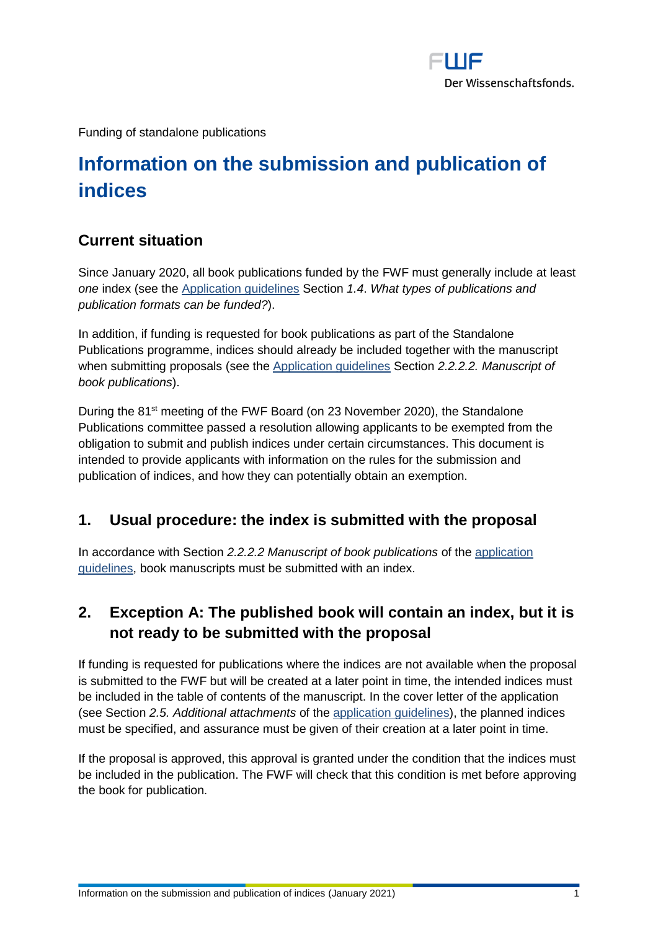

Funding of standalone publications

# **Information on the submission and publication of indices**

#### **Current situation**

Since January 2020, all book publications funded by the FWF must generally include at least *one* index (see the [Application guidelines](https://www.fwf.ac.at/fileadmin/files/Dokumente/Antragstellung/Selbstaendige_Publikationen/pub_application-guidelines.pdf) Section *1.4*. *What types of publications and publication formats can be funded?*).

In addition, if funding is requested for book publications as part of the Standalone Publications programme, indices should already be included together with the manuscript when submitting proposals (see the [Application guidelines](https://www.fwf.ac.at/fileadmin/files/Dokumente/Antragstellung/Selbstaendige_Publikationen/pub_application-guidelines.pdf) Section *2.2.2.2. Manuscript of book publications*).

During the 81<sup>st</sup> meeting of the FWF Board (on 23 November 2020), the Standalone Publications committee passed a resolution allowing applicants to be exempted from the obligation to submit and publish indices under certain circumstances. This document is intended to provide applicants with information on the rules for the submission and publication of indices, and how they can potentially obtain an exemption.

#### **1. Usual procedure: the index is submitted with the proposal**

In accordance with Section *2.2.2.2 Manuscript of book publications* of the [application](https://www.fwf.ac.at/fileadmin/files/Dokumente/Antragstellung/Selbstaendige_Publikationen/pub_application-guidelines.pdf)  [guidelines,](https://www.fwf.ac.at/fileadmin/files/Dokumente/Antragstellung/Selbstaendige_Publikationen/pub_application-guidelines.pdf) book manuscripts must be submitted with an index.

## <span id="page-0-0"></span>**2. Exception A: The published book will contain an index, but it is not ready to be submitted with the proposal**

If funding is requested for publications where the indices are not available when the proposal is submitted to the FWF but will be created at a later point in time, the intended indices must be included in the table of contents of the manuscript. In the cover letter of the application (see Section *2.5. Additional attachments* of the [application guidelines\)](https://www.fwf.ac.at/fileadmin/files/Dokumente/Antragstellung/Selbstaendige_Publikationen/pub_application-guidelines.pdf), the planned indices must be specified, and assurance must be given of their creation at a later point in time.

If the proposal is approved, this approval is granted under the condition that the indices must be included in the publication. The FWF will check that this condition is met before approving the book for publication.